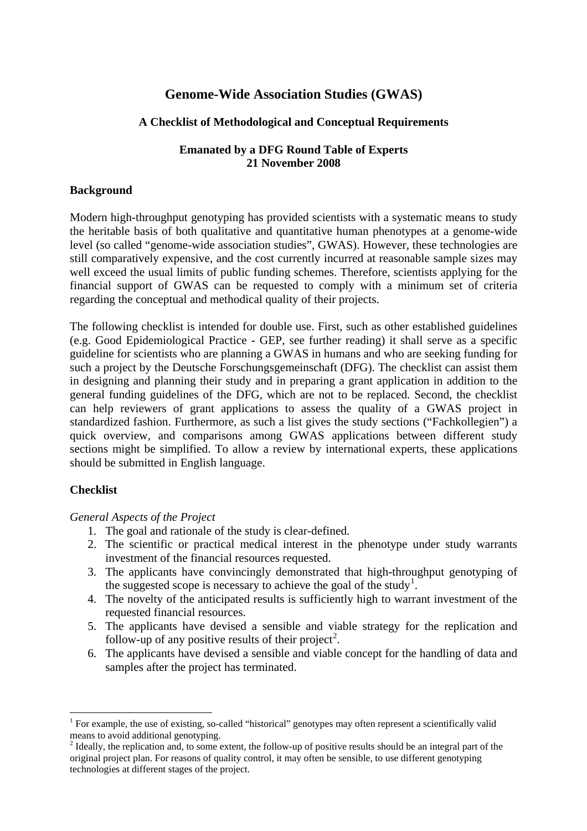# **Genome-Wide Association Studies (GWAS)**

# **A Checklist of Methodological and Conceptual Requirements**

## **Emanated by a DFG Round Table of Experts 21 November 2008**

# **Background**

Modern high-throughput genotyping has provided scientists with a systematic means to study the heritable basis of both qualitative and quantitative human phenotypes at a genome-wide level (so called "genome-wide association studies", GWAS). However, these technologies are still comparatively expensive, and the cost currently incurred at reasonable sample sizes may well exceed the usual limits of public funding schemes. Therefore, scientists applying for the financial support of GWAS can be requested to comply with a minimum set of criteria regarding the conceptual and methodical quality of their projects.

The following checklist is intended for double use. First, such as other established guidelines (e.g. Good Epidemiological Practice - GEP, see further reading) it shall serve as a specific guideline for scientists who are planning a GWAS in humans and who are seeking funding for such a project by the Deutsche Forschungsgemeinschaft (DFG). The checklist can assist them in designing and planning their study and in preparing a grant application in addition to the general funding guidelines of the DFG, which are not to be replaced. Second, the checklist can help reviewers of grant applications to assess the quality of a GWAS project in standardized fashion. Furthermore, as such a list gives the study sections ("Fachkollegien") a quick overview, and comparisons among GWAS applications between different study sections might be simplified. To allow a review by international experts, these applications should be submitted in English language.

# **Checklist**

1

### *General Aspects of the Project*

- 1. The goal and rationale of the study is clear-defined.
- 2. The scientific or practical medical interest in the phenotype under study warrants investment of the financial resources requested.
- 3. The applicants have convincingly demonstrated that high-throughput genotyping of the suggested scope is necessary to achieve the goal of the study<sup>[1](#page-0-0)</sup>.
- 4. The novelty of the anticipated results is sufficiently high to warrant investment of the requested financial resources.
- 5. The applicants have devised a sensible and viable strategy for the replication and follow-up of any positive results of their project<sup>[2](#page-0-1)</sup>.
- 6. The applicants have devised a sensible and viable concept for the handling of data and samples after the project has terminated.

<span id="page-0-0"></span><sup>&</sup>lt;sup>1</sup> For example, the use of existing, so-called "historical" genotypes may often represent a scientifically valid means to avoid additional genotyping.

<span id="page-0-1"></span><sup>&</sup>lt;sup>2</sup> Ideally, the replication and, to some extent, the follow-up of positive results should be an integral part of the original project plan. For reasons of quality control, it may often be sensible, to use different genotyping technologies at different stages of the project.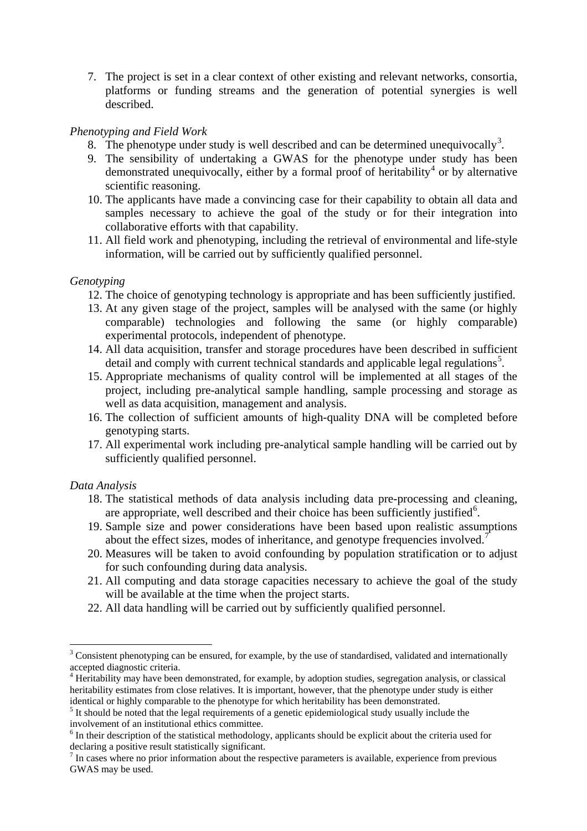7. The project is set in a clear context of other existing and relevant networks, consortia, platforms or funding streams and the generation of potential synergies is well described.

# *Phenotyping and Field Work*

- 8. The phenotype under study is well described and can be determined unequivocally<sup>[3](#page-1-0)</sup>.
- 9. The sensibility of undertaking a GWAS for the phenotype under study has been demonstrated unequivocally, either by a formal proof of heritability<sup>[4](#page-1-1)</sup> or by alternative scientific reasoning.
- 10. The applicants have made a convincing case for their capability to obtain all data and samples necessary to achieve the goal of the study or for their integration into collaborative efforts with that capability.
- 11. All field work and phenotyping, including the retrieval of environmental and life-style information, will be carried out by sufficiently qualified personnel.

### *Genotyping*

- 12. The choice of genotyping technology is appropriate and has been sufficiently justified.
- 13. At any given stage of the project, samples will be analysed with the same (or highly comparable) technologies and following the same (or highly comparable) experimental protocols, independent of phenotype.
- 14. All data acquisition, transfer and storage procedures have been described in sufficient detail and comply with current technical standards and applicable legal regulations<sup>[5](#page-1-2)</sup>.
- 15. Appropriate mechanisms of quality control will be implemented at all stages of the project, including pre-analytical sample handling, sample processing and storage as well as data acquisition, management and analysis.
- 16. The collection of sufficient amounts of high-quality DNA will be completed before genotyping starts.
- 17. All experimental work including pre-analytical sample handling will be carried out by sufficiently qualified personnel.

### *Data Analysis*

1

- 18. The statistical methods of data analysis including data pre-processing and cleaning, are appropriate, well described and their choice has been sufficiently justified<sup>[6](#page-1-3)</sup>.
- 19. Sample size and power considerations have been based upon realistic assumptions about the effect sizes, modes of inheritance, and genotype frequencies involved. $\overline{7}$  $\overline{7}$  $\overline{7}$
- 20. Measures will be taken to avoid confounding by population stratification or to adjust for such confounding during data analysis.
- 21. All computing and data storage capacities necessary to achieve the goal of the study will be available at the time when the project starts.
- 22. All data handling will be carried out by sufficiently qualified personnel.

<span id="page-1-0"></span> $3$  Consistent phenotyping can be ensured, for example, by the use of standardised, validated and internationally accepted diagnostic criteria.

<span id="page-1-1"></span><sup>&</sup>lt;sup>4</sup> Heritability may have been demonstrated, for example, by adoption studies, segregation analysis, or classical heritability estimates from close relatives. It is important, however, that the phenotype under study is either identical or highly comparable to the phenotype for which heritability has been demonstrated.

<span id="page-1-2"></span><sup>&</sup>lt;sup>5</sup> It should be noted that the legal requirements of a genetic epidemiological study usually include the involvement of an institutional ethics committee.

<span id="page-1-3"></span><sup>&</sup>lt;sup>6</sup> In their description of the statistical methodology, applicants should be explicit about the criteria used for declaring a positive result statistically significant.

<span id="page-1-4"></span><sup>&</sup>lt;sup>7</sup> In cases where no prior information about the respective parameters is available, experience from previous GWAS may be used.